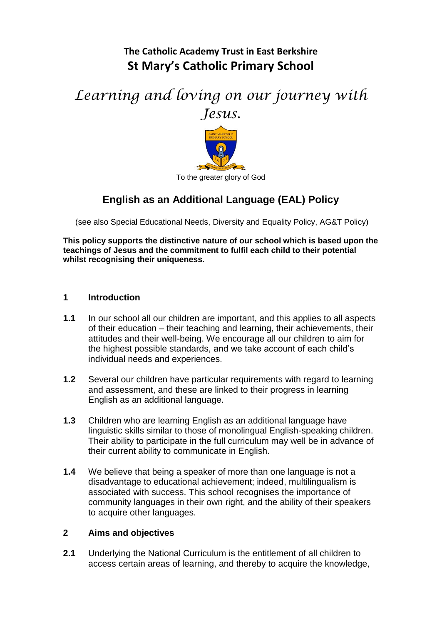## **The Catholic Academy Trust in East Berkshire St Mary's Catholic Primary School**

# *Learning and loving on our journey with Jesus.*



### **English as an Additional Language (EAL) Policy**

(see also Special Educational Needs, Diversity and Equality Policy, AG&T Policy)

**This policy supports the distinctive nature of our school which is based upon the teachings of Jesus and the commitment to fulfil each child to their potential whilst recognising their uniqueness.**

- **1 Introduction**
- **1.1** In our school all our children are important, and this applies to all aspects of their education – their teaching and learning, their achievements, their attitudes and their well-being. We encourage all our children to aim for the highest possible standards, and we take account of each child's individual needs and experiences.
- **1.2** Several our children have particular requirements with regard to learning and assessment, and these are linked to their progress in learning English as an additional language.
- **1.3** Children who are learning English as an additional language have linguistic skills similar to those of monolingual English-speaking children. Their ability to participate in the full curriculum may well be in advance of their current ability to communicate in English.
- **1.4** We believe that being a speaker of more than one language is not a disadvantage to educational achievement; indeed, multilingualism is associated with success. This school recognises the importance of community languages in their own right, and the ability of their speakers to acquire other languages.

#### **2 Aims and objectives**

**2.1** Underlying the National Curriculum is the entitlement of all children to access certain areas of learning, and thereby to acquire the knowledge,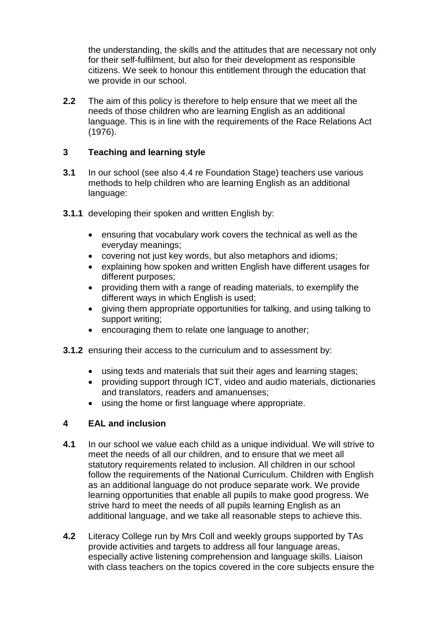the understanding, the skills and the attitudes that are necessary not only for their self-fulfilment, but also for their development as responsible citizens. We seek to honour this entitlement through the education that we provide in our school.

**2.2** The aim of this policy is therefore to help ensure that we meet all the needs of those children who are learning English as an additional language. This is in line with the requirements of the Race Relations Act (1976).

#### **3 Teaching and learning style**

- **3.1** In our school (see also 4.4 re Foundation Stage) teachers use various methods to help children who are learning English as an additional language:
- **3.1.1** developing their spoken and written English by:
	- ensuring that vocabulary work covers the technical as well as the everyday meanings;
	- covering not just key words, but also metaphors and idioms;
	- explaining how spoken and written English have different usages for different purposes;
	- providing them with a range of reading materials, to exemplify the different ways in which English is used;
	- giving them appropriate opportunities for talking, and using talking to support writing;
	- encouraging them to relate one language to another;
- **3.1.2** ensuring their access to the curriculum and to assessment by:
	- using texts and materials that suit their ages and learning stages;
	- providing support through ICT, video and audio materials, dictionaries and translators, readers and amanuenses;
	- using the home or first language where appropriate.

#### **4 EAL and inclusion**

- **4.1** In our school we value each child as a unique individual. We will strive to meet the needs of all our children, and to ensure that we meet all statutory requirements related to inclusion. All children in our school follow the requirements of the National Curriculum. Children with English as an additional language do not produce separate work. We provide learning opportunities that enable all pupils to make good progress. We strive hard to meet the needs of all pupils learning English as an additional language, and we take all reasonable steps to achieve this.
- **4.2** Literacy College run by Mrs Coll and weekly groups supported by TAs provide activities and targets to address all four language areas, especially active listening comprehension and language skills. Liaison with class teachers on the topics covered in the core subjects ensure the